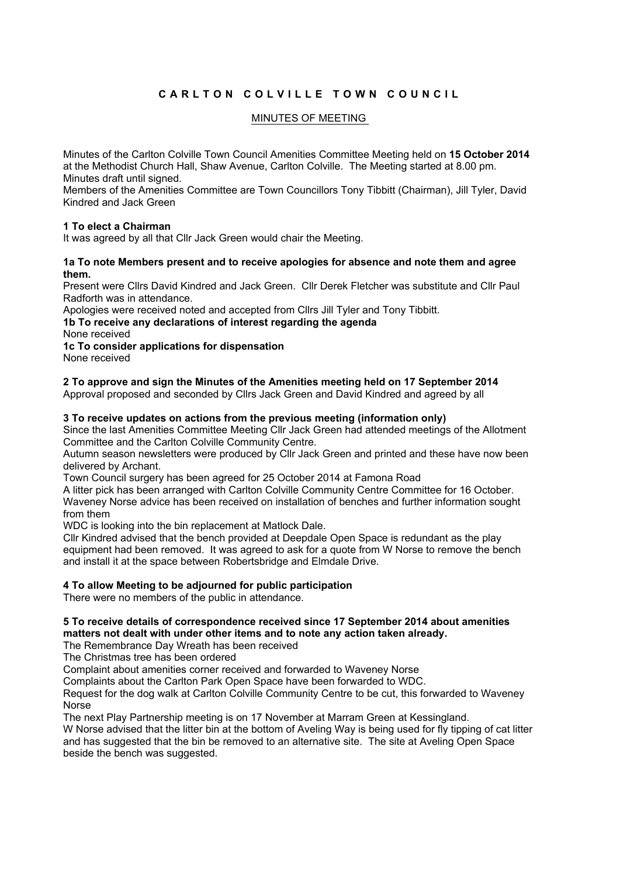# CARLTON COLVILLE TOWN COUNCIL

## MINUTES OF MEETING

Minutes of the Carlton Colville Town Council Amenities Committee Meeting held on **15 October 2014** at the Methodist Church Hall, Shaw Avenue, Carlton Colville. The Meeting started at 8.00 pm. Minutes draft until signed.

Members of the Amenities Committee are Town Councillors Tony Tibbitt (Chairman), Jill Tyler, David Kindred and Jack Green

## **1 To elect a Chairman**

It was agreed by all that Cllr Jack Green would chair the Meeting.

#### **1a To note Members present and to receive apologies for absence and note them and agree them.**

Present were Cllrs David Kindred and Jack Green. Cllr Derek Fletcher was substitute and Cllr Paul Radforth was in attendance.

Apologies were received noted and accepted from Cllrs Jill Tyler and Tony Tibbitt.

**1b To receive any declarations of interest regarding the agenda**

None received

## **1c To consider applications for dispensation**

None received

**2 To approve and sign the Minutes of the Amenities meeting held on 17 September 2014**

Approval proposed and seconded by Cllrs Jack Green and David Kindred and agreed by all

#### **3 To receive updates on actions from the previous meeting (information only)**

Since the last Amenities Committee Meeting Cllr Jack Green had attended meetings of the Allotment Committee and the Carlton Colville Community Centre.

Autumn season newsletters were produced by Cllr Jack Green and printed and these have now been delivered by Archant.

Town Council surgery has been agreed for 25 October 2014 at Famona Road

A litter pick has been arranged with Carlton Colville Community Centre Committee for 16 October. Waveney Norse advice has been received on installation of benches and further information sought from them

WDC is looking into the bin replacement at Matlock Dale.

Cllr Kindred advised that the bench provided at Deepdale Open Space is redundant as the play equipment had been removed. It was agreed to ask for a quote from W Norse to remove the bench and install it at the space between Robertsbridge and Elmdale Drive.

## **4 To allow Meeting to be adjourned for public participation**

There were no members of the public in attendance.

#### **5 To receive details of correspondence received since 17 September 2014 about amenities matters not dealt with under other items and to note any action taken already.**

The Remembrance Day Wreath has been received

The Christmas tree has been ordered

Complaint about amenities corner received and forwarded to Waveney Norse

Complaints about the Carlton Park Open Space have been forwarded to WDC.

Request for the dog walk at Carlton Colville Community Centre to be cut, this forwarded to Waveney Norse

The next Play Partnership meeting is on 17 November at Marram Green at Kessingland.

W Norse advised that the litter bin at the bottom of Aveling Way is being used for fly tipping of cat litter and has suggested that the bin be removed to an alternative site. The site at Aveling Open Space beside the bench was suggested.